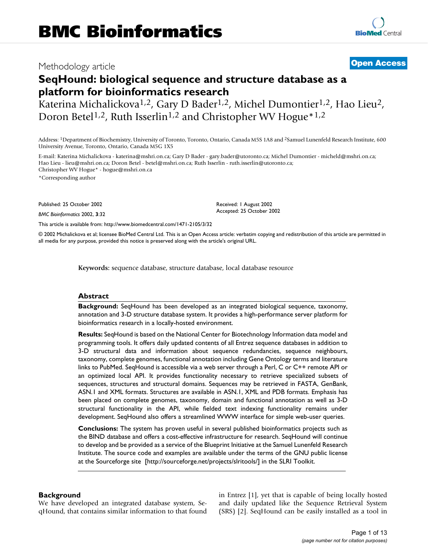# Methodology article **Biographics 2002, 30 and 2002, 30 and 200**2, 30 and 30 and 30 and 30 and 30 and 30 and 30 and 30 and 30 and 30 and 30 and 30 and 30 and 30 and 30 and 30 and 30 and 30 and 30 and 30 and 30 and 30 and 30

# **SeqHound: biological sequence and structure database as a platform for bioinformatics research**

Katerina Michalickova<sup>1,2</sup>, Gary D Bader<sup>1,2</sup>, Michel Dumontier<sup>1,2</sup>, Hao Lieu<sup>2</sup>, Doron Betel<sup>1,2</sup>, Ruth Isserlin<sup>1,2</sup> and Christopher WV Hogue<sup>\*1,2</sup>

Address: <sup>1</sup>Department of Biochemistry, University of Toronto, Toronto, Ontario, Canada M5S 1A8 and <sup>2</sup>Samuel Lunenfeld Research Institute, 600 University Avenue, Toronto, Ontario, Canada M5G 1X5

E-mail: Katerina Michalickova - katerina@mshri.on.ca; Gary D Bader - gary.bader@utoronto.ca; Michel Dumontier - micheld@mshri.on.ca; Hao Lieu - lieu@mshri.on.ca; Doron Betel - betel@mshri.on.ca; Ruth Isserlin - ruth.isserlin@utoronto.ca; Christopher WV Hogue\* - hogue@mshri.on.ca

\*Corresponding author

Published: 25 October 2002

*BMC Bioinformatics* 2002, **3**:32

[This article is available from: http://www.biomedcentral.com/1471-2105/3/32](http://www.biomedcentral.com/1471-2105/3/32)

© 2002 Michalickova et al; licensee BioMed Central Ltd. This is an Open Access article: verbatim copying and redistribution of this article are permitted in all media for any purpose, provided this notice is preserved along with the article's original URL.

Received: 1 August 2002 Accepted: 25 October 2002

**Keywords:** sequence database, structure database, local database resource

#### **Abstract**

**Background:** SeqHound has been developed as an integrated biological sequence, taxonomy, annotation and 3-D structure database system. It provides a high-performance server platform for bioinformatics research in a locally-hosted environment.

**Results:** SeqHound is based on the National Center for Biotechnology Information data model and programming tools. It offers daily updated contents of all Entrez sequence databases in addition to 3-D structural data and information about sequence redundancies, sequence neighbours, taxonomy, complete genomes, functional annotation including Gene Ontology terms and literature links to PubMed. SeqHound is accessible via a web server through a Perl, C or C++ remote API or an optimized local API. It provides functionality necessary to retrieve specialized subsets of sequences, structures and structural domains. Sequences may be retrieved in FASTA, GenBank, ASN.1 and XML formats. Structures are available in ASN.1, XML and PDB formats. Emphasis has been placed on complete genomes, taxonomy, domain and functional annotation as well as 3-D structural functionality in the API, while fielded text indexing functionality remains under development. SeqHound also offers a streamlined WWW interface for simple web-user queries.

**Conclusions:** [The system has proven useful in several published bioinformatics projects such as](http://sourceforge.net/projects/slritools/) the BIND database and offers a cost-effective infrastructure for research. SeqHound will continue [to develop and be provided as a service of the Blueprint Initiative at the Samuel Lunenfeld Research](http://sourceforge.net/projects/slritools/) Institute. The source code and examples are available under the terms of the GNU public license at the Sourceforge site [http://sourceforge.net/projects/slritools/] in the SLRI Toolkit.

#### **Background**

We have developed an integrated database system, SeqHound, that contains similar information to that found in Entrez [1], yet that is capable of being locally hosted and daily updated like the Sequence Retrieval System (SRS) [2]. SeqHound can be easily installed as a tool in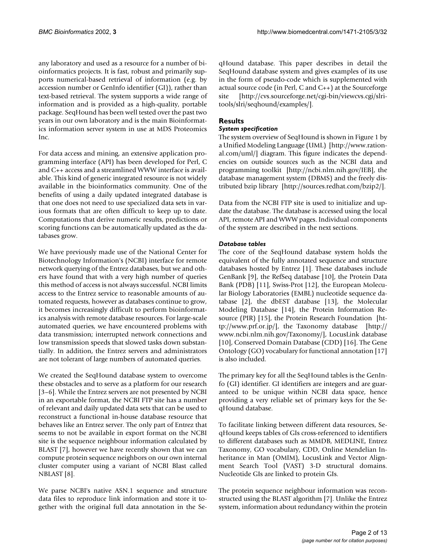any laboratory and used as a resource for a number of bioinformatics projects. It is fast, robust and primarily supports numerical-based retrieval of information (e.g. by accession number or GenInfo identifier (GI)), rather than text-based retrieval. The system supports a wide range of information and is provided as a high-quality, portable package. SeqHound has been well tested over the past two years in our own laboratory and is the main Bioinformatics information server system in use at MDS Proteomics Inc.

For data access and mining, an extensive application programming interface (API) has been developed for Perl, C and C++ access and a streamlined WWW interface is available. This kind of generic integrated resource is not widely available in the bioinformatics community. One of the [benefits of using a daily updated integrated database is](http://sources.redhat.com/bzip2/) that one does not need to use specialized data sets in various formats that are often difficult to keep up to date. Computations that derive numeric results, predictions or scoring functions can be automatically updated as the databases grow.

We have previously made use of the National Center for Biotechnology Information's (NCBI) interface for remote network querying of the Entrez databases, but we and others have found that with a very high number of queries this method of access is not always successful. NCBI limits access to the Entrez service to reasonable amounts of automated requests, however as databases continue to grow, it becomes increasingly difficult to perform bioinformatics analysis with remote database resources. For large-scale automated queries, we have encountered problems with data transmission; interrupted network connections and low transmission speeds that slowed tasks down substantially. In addition, the Entrez servers and administrators are not tolerant of large numbers of automated queries.

We created the SeqHound database system to overcome these obstacles and to serve as a platform for our research [3–6]. While the Entrez servers are not presented by NCBI in an exportable format, the NCBI FTP site has a number of relevant and daily updated data sets that can be used to reconstruct a functional in-house database resource that behaves like an Entrez server. The only part of Entrez that seems to not be available in export format on the NCBI site is the sequence neighbour information calculated by BLAST [7], however we have recently shown that we can compute protein sequence neighbors on our own internal cluster computer using a variant of NCBI Blast called NBLAST [8].

We parse NCBI's native ASN.1 sequence and structure data files to reproduce link information and store it to[gether with the original full data annotation in the Se-](http://cvs.sourceforge.net/cgi-bin/viewcvs.cgi/slritools/slri/seqhound/examples/) [qHound database. This paper describes in detail the](http://cvs.sourceforge.net/cgi-bin/viewcvs.cgi/slritools/slri/seqhound/examples/) SeqHound database system and gives examples of its use in the form of pseudo-code which is supplemented with actual source code (in Perl, C and C++) at the Sourceforge site [http://cvs.sourceforge.net/cgi-bin/viewcvs.cgi/slritools/slri/seqhound/examples/].

# **Results**

### *System specification*

[The system overview of SeqHound is shown in Figure 1 by](http://www.rational.com/uml/) a Unified Modeling Language (UML) [http://www.rational.com/uml/] diagram. This figure indicates the dependencies on outside sources such as the NCBI data and [programming toolkit \[](http://www.rational.com/uml/)[http://ncbi.nlm.nih.gov/IEB\], the](http://ncbi.nlm.nih.gov/IEB) [database management system \(DBMS\) and the freely dis](http://ncbi.nlm.nih.gov/IEB)[tributed bzip library \[](http://ncbi.nlm.nih.gov/IEB)[http://sources.redhat.com/bzip2/\].](http://sources.redhat.com/bzip2/)

Data from the NCBI FTP site is used to initialize and update the database. The database is accessed using the local API, remote API and WWW pages. Individual components of the system are described in the next sections.

### *Database tables*

[The core of the SeqHound database system holds the](http://www.prf.or.jp/) equivalent of the fully annotated sequence and structure databases hosted by Entrez [1]. These databases include GenBank [9], the RefSeq database [10], the Protein Data Bank (PDB) [11], Swiss-Prot [12], the European Molecular Biology Laboratories (EMBL) nucleotide sequence database [2], the dbEST database [13], the Molecular Modeling Database [14], the Protein Information Resource (PIR) [15], the Protein Research Foundation [ht[tp://www.prf.or.jp/\], the Taxonomy database \[](http://www.prf.or.jp/)[http://](http://www.ncbi.nlm.nih.gov/Taxonomy/) [www.ncbi.nlm.nih.gov/Taxonomy/\], LocusLink database](http://www.ncbi.nlm.nih.gov/Taxonomy/) [10], Conserved Domain Database (CDD) [16]. The Gene Ontology (GO) vocabulary for functional annotation [17] is also included.

The primary key for all the SeqHound tables is the GenInfo (GI) identifier. GI identifiers are integers and are guaranteed to be unique within NCBI data space, hence providing a very reliable set of primary keys for the SeqHound database.

To facilitate linking between different data resources, SeqHound keeps tables of GIs cross-referenced to identifiers to different databases such as MMDB, MEDLINE, Entrez Taxonomy, GO vocabulary, CDD, Online Mendelian Inheritance in Man (OMIM), LocusLink and Vector Alignment Search Tool (VAST) 3-D structural domains. Nucleotide GIs are linked to protein GIs.

[The protein sequence neighbour information was recon](http://www.ncbi.nlm.nih.gov:80/PMGifs/Genomes/org.html)structed using the BLAST algorithm [7]. Unlike the Entrez [system, information about redundancy within the protein](http://www.ncbi.nlm.nih.gov:80/PMGifs/Genomes/org.html)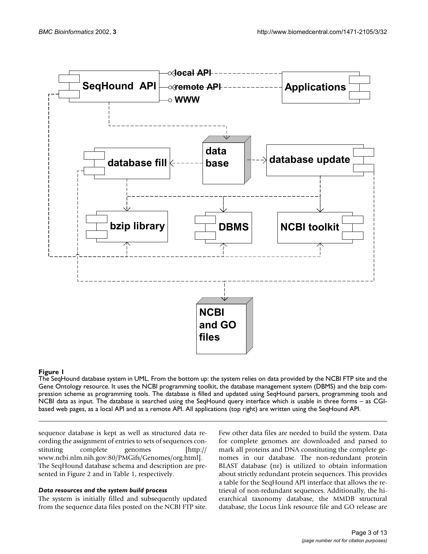

#### **Figure 1**

The SeqHound database system in UML. From the bottom up: the system relies on data provided by the NCBI FTP site and the Gene Ontology resource. It uses the NCBI programming toolkit, the database management system (DBMS) and the bzip compression scheme as programming tools. The database is filled and updated using SeqHound parsers, programming tools and NCBI data as input. The database is searched using the SeqHound query interface which is usable in three forms – as CGIbased web pages, as a local API and as a remote API. All applications (top right) are written using the SeqHound API.

[sequence database is kept as well as structured data re](http://www.ncbi.nlm.nih.gov:80/PMGifs/Genomes/org.html)cording the assignment of entries to sets of sequences constituting complete genomes [http:// www.ncbi.nlm.nih.gov:80/PMGifs/Genomes/org.html]. The SeqHound database schema and description are presented in Figure 2 and in Table 1, respectively.

#### *Data resources and the system build process*

The system is initially filled and subsequently updated from the sequence data files posted on the NCBI FTP site.

Few other data files are needed to build the system. Data for complete genomes are downloaded and parsed to mark all proteins and DNA constituting the complete genomes in our database. The non-redundant protein BLAST database (nr) is utilized to obtain information about strictly redundant protein sequences. This provides a table for the SeqHound API interface that allows the retrieval of non-redundant sequences. Additionally, the hierarchical taxonomy database, the MMDB structural database, the Locus Link resource file and GO release are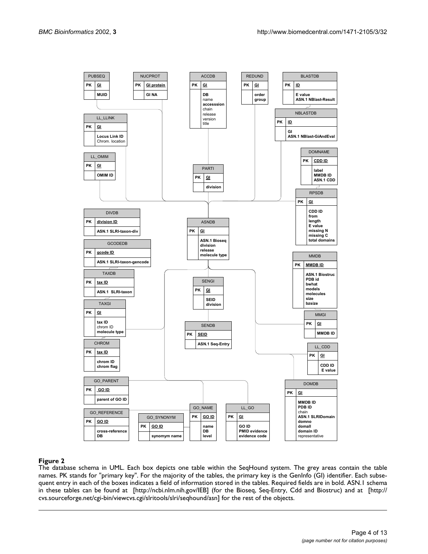

#### **Figure 2**

[The database schema in UML. Each box depicts one table within the SeqHound system. The grey areas contain the table](http://ncbi.nlm.nih.gov/IEB) names. PK stands for "primary key". For the majority of the tables, the primary key is the GenInfo (GI) identifier. Each subsequent entry in each of the boxes indicates a field of information stored in the tables. Required fields are in bold. ASN.1 schema [in these tables can be found at \[http://ncbi.nlm.nih.gov/IEB\] \(for the Bioseq, Seq-Entry, Cdd and Biostruc\) and at \[](http://ncbi.nlm.nih.gov/IEB)[http://](http://cvs.sourceforge.net/cgi-bin/viewcvs.cgi/slritools/slri/seqhound/asn) [cvs.sourceforge.net/cgi-bin/viewcvs.cgi/slritools/slri/seqhound/asn\] for the rest of the objects.](http://cvs.sourceforge.net/cgi-bin/viewcvs.cgi/slritools/slri/seqhound/asn)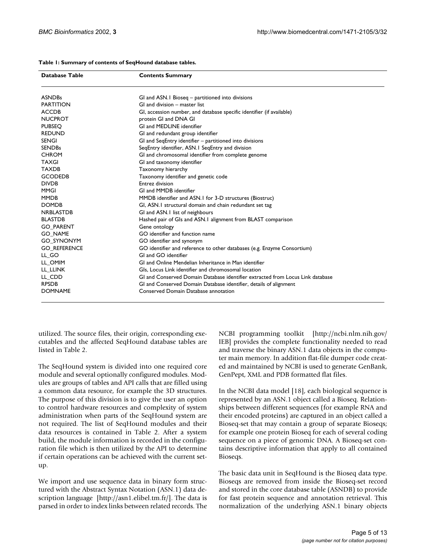| <b>Database Table</b> | <b>Contents Summary</b>                                                        |
|-----------------------|--------------------------------------------------------------------------------|
| <b>ASNDBs</b>         | GI and ASN. I Bioseq – partitioned into divisions                              |
| <b>PARTITION</b>      | GI and division - master list                                                  |
| <b>ACCDB</b>          | GI, accession number, and database specific identifier (if available)          |
| <b>NUCPROT</b>        | protein GI and DNA GI                                                          |
| <b>PUBSEO</b>         | GI and MEDLINE identifier                                                      |
| <b>REDUND</b>         | GI and redundant group identifier                                              |
| <b>SENGI</b>          | GI and SeqEntry identifier - partitioned into divisions                        |
| <b>SENDBs</b>         | SegEntry identifier, ASN.I SegEntry and division                               |
| <b>CHROM</b>          | GI and chromosomal identifier from complete genome                             |
| <b>TAXGI</b>          | GI and taxonomy identifier                                                     |
| <b>TAXDB</b>          | Taxonomy hierarchy                                                             |
| <b>GCODEDB</b>        | Taxonomy identifier and genetic code                                           |
| <b>DIVDB</b>          | Entrez division                                                                |
| <b>MMGI</b>           | GI and MMDB identifier                                                         |
| <b>MMDB</b>           | MMDB identifier and ASN. I for 3-D structures (Biostruc)                       |
| <b>DOMDB</b>          | GI, ASN. I structural domain and chain redundant set tag                       |
| <b>NRBLASTDB</b>      | GI and ASN. I list of neighbours                                               |
| <b>BLASTDB</b>        | Hashed pair of GIs and ASN.I alignment from BLAST comparison                   |
| <b>GO PARENT</b>      | Gene ontology                                                                  |
| <b>GO NAME</b>        | GO identifier and function name                                                |
| <b>GO SYNONYM</b>     | GO identifier and synonym                                                      |
| <b>GO REFERENCE</b>   | GO identifier and reference to other databases (e.g. Enzyme Consortium)        |
| LL GO                 | GI and GO identifier                                                           |
| LL OMIM               | GI and Online Mendelian Inheritance in Man identifier                          |
| LL LLINK              | Gls. Locus Link identifier and chromosomal location                            |
| LL CDD                | GI and Conserved Domain Database identifier extracted from Locus Link database |
| <b>RPSDB</b>          | GI and Conserved Domain Database identifier, details of alignment              |
| <b>DOMNAME</b>        | Conserved Domain Database annotation                                           |

**Table 1: Summary of contents of SeqHound database tables.**

utilized. The source files, their origin, corresponding executables and the affected SeqHound database tables are listed in Table 2.

The SeqHound system is divided into one required core module and several optionally configured modules. Modules are groups of tables and API calls that are filled using a common data resource, for example the 3D structures. The purpose of this division is to give the user an option to control hardware resources and complexity of system administration when parts of the SeqHound system are not required. The list of SeqHound modules and their data resources is contained in Table 2. After a system build, the module information is recorded in the configuration file which is then utilized by the API to determine if certain operations can be achieved with the current setup.

We import and use sequence data in binary form structured with the Abstract Syntax Notation (ASN.1) data description language [http://asn1.elibel.tm.fr/]. The data is [parsed in order to index links between related records. The](http://asn1.elibel.tm.fr/) [NCBI programming toolkit \[](http://asn1.elibel.tm.fr/)[http://ncbi.nlm.nih.gov/](http://ncbi.nlm.nih.gov/IEB) [IEB\] provides the complete functionality needed to read](http://ncbi.nlm.nih.gov/IEB) and traverse the binary ASN.1 data objects in the computer main memory. In addition flat-file dumper code created and maintained by NCBI is used to generate GenBank, GenPept, XML and PDB formatted flat files.

In the NCBI data model [18], each biological sequence is represented by an ASN.1 object called a Bioseq. Relationships between different sequences (for example RNA and their encoded proteins) are captured in an object called a Bioseq-set that may contain a group of separate Bioseqs; for example one protein Bioseq for each of several coding sequence on a piece of genomic DNA. A Bioseq-set contains descriptive information that apply to all contained Bioseqs.

The basic data unit in SeqHound is the Bioseq data type. Bioseqs are removed from inside the Bioseq-set record and stored in the core database table (ASNDB) to provide for fast protein sequence and annotation retrieval. This normalization of the underlying ASN.1 binary objects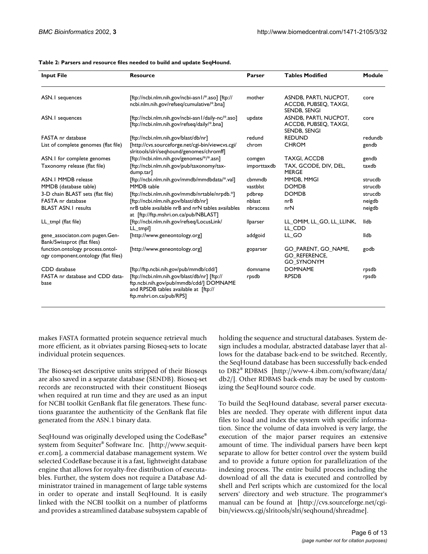| <b>Input File</b>                                                       | <b>Resource</b>                                                                                                                                              | Parser          | <b>Tables Modified</b>                                         | Module  |
|-------------------------------------------------------------------------|--------------------------------------------------------------------------------------------------------------------------------------------------------------|-----------------|----------------------------------------------------------------|---------|
| ASN.I sequences                                                         | [ftp://ncbi.nlm.nih.gov/ncbi-asn1/*.aso] [ftp://<br>ncbi.nlm.nih.gov/refseq/cumulative/*.bna]                                                                | mother          | ASNDB, PARTI, NUCPOT,<br>ACCDB, PUBSEQ, TAXGI,<br>SENDB, SENGI | core    |
| ASN.I sequences                                                         | [ftp://ncbi.nlm.nih.gov/ncbi-asn1/daily-nc/*.aso]<br>[ftp://ncbi.nlm.nih.gov/refseq/daily/*.bna]                                                             | update          | ASNDB, PARTI, NUCPOT,<br>ACCDB, PUBSEO, TAXGI,<br>SENDB, SENGI | core    |
| <b>FASTA</b> nr database                                                | [ftp://ncbi.nlm.nih.gov/blast/db/nr]                                                                                                                         | redund          | <b>REDUND</b>                                                  | redundb |
| List of complete genomes (flat file)                                    | [http://cvs.sourceforge.net/cgi-bin/viewcvs.cgi/<br>slritools/slri/seqhound/genomes/chromff]                                                                 | chrom           | <b>CHROM</b>                                                   | gendb   |
| ASN. I for complete genomes                                             | [ftp://ncbi.nlm.nih.gov/genomes/*/*.asn]                                                                                                                     | comgen          | <b>TAXGI, ACCDB</b>                                            | gendb   |
| Taxonomy release (flat file)                                            | [ftp://ncbi.nlm.nih.gov/pub/taxonomy/tax-<br>dump.tar]                                                                                                       | importtaxdb     | TAX, GCODE, DIV, DEL,<br><b>MERGE</b>                          | taxdb   |
| ASN.I MMDB release                                                      | [ftp://ncbi.nlm.nih.gov/mmdb/mmdbdata/*.val]                                                                                                                 | cbmmdb          | MMDB, MMGI                                                     | strucdb |
| MMDB (database table)                                                   | MMDB table                                                                                                                                                   | vastblst        | <b>DOMDB</b>                                                   | strucdb |
| 3-D chain BLAST sets (flat file)                                        | [ftp://ncbi.nlm.nih.gov/mmdb/nrtable/nrpdb.*]                                                                                                                | pdbrep          | <b>DOMDB</b>                                                   | strucdb |
| FASTA nr database                                                       | [ftp://ncbi.nlm.nih.gov/blast/db/nr]                                                                                                                         | nblast          | nrB                                                            | neigdb  |
| <b>BLAST ASN.I</b> results                                              | nrB table available nrB and nrN tables availables<br>at [ftp://ftp.mshri.on.ca/pub/NBLAST]                                                                   | nbraccess       | nrN                                                            | neigdb  |
| LL_tmpl (flat file)                                                     | [ftp://ncbi.nlm.nih.gov/refseq/LocusLink/<br>LL tmpl]                                                                                                        | <b>Ilparser</b> | LL OMIM, LL GO, LL LLINK,<br>LL CDD                            | lldb    |
| gene_associaton.com pugen.Gen-<br>Bank/Swissprot (flat files)           | [http://www.geneontology.org]                                                                                                                                | addgoid         | LL GO                                                          | lldb    |
| function.ontology process.ontol-<br>ogy component.ontology (flat files) | [http://www.geneontology.org]                                                                                                                                | goparser        | GO_PARENT, GO_NAME,<br><b>GO REFERENCE,</b><br>GO_SYNONYM      | godb    |
| CDD database                                                            | [ftp://ftp.ncbi.nih.gov/pub/mmdb/cdd/]                                                                                                                       | domname         | <b>DOMNAME</b>                                                 | rpsdb   |
| FASTA nr database and CDD data-<br>base                                 | [ftp://ncbi.nlm.nih.gov/blast/db/nr] [ftp://<br>ftp.ncbi.nih.gov/pub/mmdb/cdd/] DOMNAME<br>and RPSDB tables available at [ftp://<br>ftp.mshri.on.ca/pub/RPS] | rpsdb           | <b>RPSDB</b>                                                   | rpsdb   |

#### **Table 2: Parsers and resource files needed to build and update SeqHound.**

makes FASTA formatted protein sequence retrieval much more efficient, as it obviates parsing Bioseq-sets to locate individual protein sequences.

The Bioseq-set descriptive units stripped of their Bioseqs are also saved in a separate database (SENDB). Bioseq-set records are reconstructed with their constituent Bioseqs when required at run time and they are used as an input for NCBI toolkit GenBank flat file generators. These functions guarantee the authenticity of the GenBank flat file generated from the ASN.1 binary data.

SeqHound was originally developed using the CodeBase® system from Sequiter® [Software Inc. \[http://www.sequit](http://www.sequiter.com)er.com], a commercial database management system. We selected CodeBase because it is a fast, lightweight database engine that allows for royalty-free distribution of executables. Further, the system does not require a Database Administrator trained in management of large table systems in order to operate and install SeqHound. It is easily linked with the NCBI toolkit on a number of platforms [and provides a streamlined database subsystem capable of](http://www.sequiter.com) [holding the sequence and structural databases. System de](http://www.sequiter.com)sign includes a modular, abstracted database layer that allows for the database back-end to be switched. Recently, the SeqHound database has been successfully back-ended [to DB2](http://www.sequiter.com)® [RDBMS \[http://www-4.ibm.com/software/data/](http://www-4.ibm.com/software/data/db2/) [db2/\]. Other RDBMS back-ends may be used by custom](http://www-4.ibm.com/software/data/db2/)izing the SeqHound source code.

[To build the SeqHound database, several parser executa](http://cvs.sourceforge.net/cgi-bin/viewcvs.cgi/slritools/slri/seqhound/shreadme)bles are needed. They operate with different input data files to load and index the system with specific information. Since the volume of data involved is very large, the execution of the major parser requires an extensive amount of time. The individual parsers have been kept separate to allow for better control over the system build and to provide a future option for parallelization of the indexing process. The entire build process including the download of all the data is executed and controlled by shell and Perl scripts which are customized for the local servers' directory and web structure. The programmer's manual can be found at [http://cvs.sourceforge.net/cgi[bin/viewcvs.cgi/slritools/slri/seqhound/shreadme\].](http://cvs.sourceforge.net/cgi-bin/viewcvs.cgi/slritools/slri/seqhound/shreadme)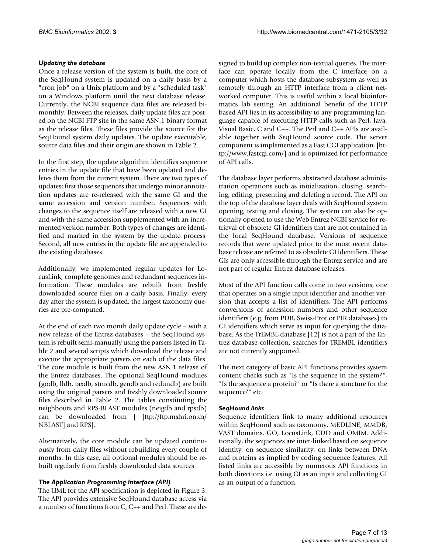#### *Updating the database*

Once a release version of the system is built, the core of the SeqHound system is updated on a daily basis by a "cron job" on a Unix platform and by a "scheduled task" on a Windows platform until the next database release. [Currently, the NCBI sequence data files are released bi](http://www.fastcgi.com/)monthly. Between the releases, daily update files are posted on the NCBI FTP site in the same ASN.1 binary format as the release files. These files provide the source for the SeqHound system daily updates. The update executable, source data files and their origin are shown in Table 2.

In the first step, the update algorithm identifies sequence entries in the update file that have been updated and deletes them from the current system. There are two types of updates; first those sequences that undergo minor annotation updates are re-released with the same GI and the same accession and version number. Sequences with changes to the sequence itself are released with a new GI and with the same accession supplemented with an incremented version number. Both types of changes are identified and marked in the system by the update process. Second, all new entries in the update file are appended to the existing databases.

Additionally, we implemented regular updates for LocusLink, complete genomes and redundant sequences information. These modules are rebuilt from freshly downloaded source files on a daily basis. Finally, every day after the system is updated, the largest taxonomy queries are pre-computed.

[At the end of each two month daily update cycle – with a](ftp://ftp.mshri.on.ca/NBLAST) new release of the Entrez databases – the SeqHound system is rebuilt semi-manually using the parsers listed in Table 2 and several scripts which download the release and execute the appropriate parsers on each of the data files. The core module is built from the new ASN.1 release of the Entrez databases. The optional SeqHound modules (godb, lldb, taxdb, strucdb, gendb and redundb) are built using the original parsers and freshly downloaded source files described in Table 2. The tables constituting the neighbours and RPS-BLAST modules (neigdb and rpsdb) can be downloaded from [ [ftp://ftp.mshri.on.ca/ NBLAST] and RPS].

Alternatively, the core module can be updated continuously from daily files without rebuilding every couple of months. In this case, all optional modules should be rebuilt regularly from freshly downloaded data sources.

#### *The Application Programming Interface (API)*

The UML for the API specification is depicted in Figure [3.](#page-7-0) The API provides extensive SeqHound database access via [a number of functions from C, C++ and Perl. These are de-](http://www.fastcgi.com/) [signed to build up complex non-textual queries. The inter](http://www.fastcgi.com/)face can operate locally from the C interface on a computer which hosts the database subsystem as well as remotely through an HTTP interface from a client networked computer. This is useful within a local bioinformatics lab setting. An additional benefit of the HTTP based API lies in its accessibility to any programming language capable of executing HTTP calls such as Perl, Java, Visual Basic, C and C++. The Perl and C++ APIs are available together with SeqHound source code. The server component is implemented as a Fast CGI application [http://www.fastcgi.com/] and is optimized for performance of API calls.

The database layer performs abstracted database administration operations such as initialization, closing, searching, editing, presenting and deleting a record. The API on the top of the database layer deals with SeqHound system opening, testing and closing. The system can also be optionally opened to use the Web Entrez NCBI service for retrieval of obsolete GI identifiers that are not contained in the local SeqHound database. Versions of sequence records that were updated prior to the most recent database release are referred to as obsolete GI identifiers. These GIs are only accessible through the Entrez service and are not part of regular Entrez database releases.

Most of the API function calls come in two versions, one that operates on a single input identifier and another version that accepts a list of identifiers. The API performs conversions of accession numbers and other sequence identifiers (e.g. from PDB, Swiss-Prot or PIR databases) to GI identifiers which serve as input for querying the database. As the TrEMBL database [12] is not a part of the Entrez database collection, searches for TREMBL identifiers are not currently supported.

The next category of basic API functions provides system content checks such as "Is the sequence in the system?", "Is the sequence a protein?" or "Is there a structure for the sequence?" etc.

#### *SeqHound links*

Sequence identifiers link to many additional resources within SeqHound such as taxonomy, MEDLINE, MMDB, VAST domains, GO, LocusLink, CDD and OMIM. Additionally, the sequences are inter-linked based on sequence identity, on sequence similarity, on links between DNA and proteins as implied by coding sequence features. All listed links are accessible by numerous API functions in both directions i.e. using GI as an input and collecting GI as an output of a function.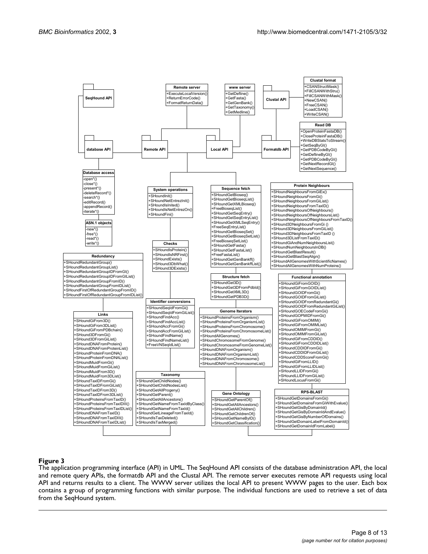

#### <span id="page-7-0"></span>**Figure 3**

The application programming interface (API) in UML. The SeqHound API consists of the database administration API, the local and remote query APIs, the formatdb API and the Clustal API. The remote server executes remote API requests using local API and returns results to a client. The WWW server utilizes the local API to present WWW pages to the user. Each box contains a group of programming functions with similar purpose. The individual functions are used to retrieve a set of data from the SeqHound system.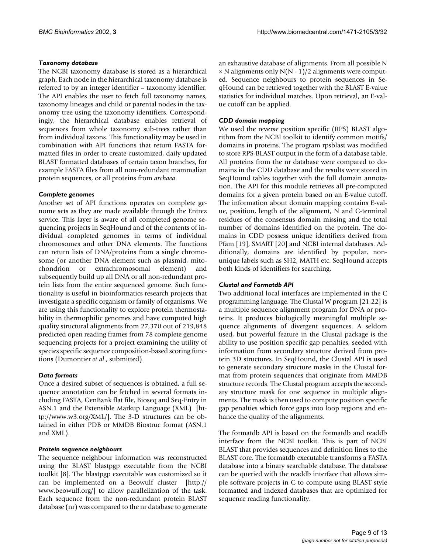#### *Taxonomy database*

The NCBI taxonomy database is stored as a hierarchical graph. Each node in the hierarchical taxonomy database is referred to by an integer identifier – taxonomy identifier. The API enables the user to fetch full taxonomy names, taxonomy lineages and child or parental nodes in the taxonomy tree using the taxonomy identifiers. Correspondingly, the hierarchical database enables retrieval of sequences from whole taxonomy sub-trees rather than from individual taxons. This functionality may be used in combination with API functions that return FASTA formatted files in order to create customized, daily updated BLAST formatted databases of certain taxon branches, for example FASTA files from all non-redundant mammalian protein sequences, or all proteins from *archaea*.

### *Complete genomes*

Another set of API functions operates on complete genome sets as they are made available through the Entrez service. This layer is aware of all completed genome sequencing projects in SeqHound and of the contents of individual completed genomes in terms of individual chromosomes and other DNA elements. The functions can return lists of DNA/proteins from a single chromosome (or another DNA element such as plasmid, mitochondrion or extrachromosomal element) and subsequently build up all DNA or all non-redundant protein lists from the entire sequenced genome. Such functionality is useful in bioinformatics research projects that investigate a specific organism or family of organisms. We are using this functionality to explore protein thermostability in thermophilic genomes and have computed high quality structural alignments from 27,370 out of 219,848 predicted open reading frames from 78 complete genome sequencing projects for a project examining the utility of species specific sequence composition-based scoring functions (Dumontier *et al*., submitted).

# *Data formats*

[Once a desired subset of sequences is obtained, a full se](http://www.w3.org/XML/)quence annotation can be fetched in several formats including FASTA, GenBank flat file, Bioseq and Seq-Entry in ASN.1 and the Extensible Markup Language (XML) [http://www.w3.org/XML/]. The 3-D structures can be obtained in either PDB or MMDB Biostruc format (ASN.1 and XML).

# *Protein sequence neighbours*

The sequence neighbour information was reconstructed using the BLAST blastpgp executable from the NCBI toolkit [8]. The blastpgp executable was customized so it can be implemented on a Beowulf cluster [http:// www.beowulf.org/] to allow parallelization of the task. Each sequence from the non-redundant protein BLAST [database \(nr\) was compared to the nr database to generate](http://www.beowulf.org/) [an exhaustive database of alignments. From all possible N](http://www.beowulf.org/)  $\times$  N alignments only N(N - 1)/2 alignments were computed. Sequence neighbours to protein sequences in SeqHound can be retrieved together with the BLAST E-value statistics for individual matches. Upon retrieval, an E-value cutoff can be applied.

# *CDD domain mapping*

We used the reverse position specific (RPS) BLAST algorithm from the NCBI toolkit to identify common motifs/ domains in proteins. The program rpsblast was modified to store RPS-BLAST output in the form of a database table. All proteins from the nr database were compared to domains in the CDD database and the results were stored in SeqHound tables together with the full domain annotation. The API for this module retrieves all pre-computed domains for a given protein based on an E-value cutoff. The information about domain mapping contains E-value, position, length of the alignment, N and C-terminal residues of the consensus domain missing and the total number of domains identified on the protein. The domains in CDD possess unique identifiers derived from Pfam [19], SMART [20] and NCBI internal databases. Additionally, domains are identified by popular, nonunique labels such as SH2, MATH etc. SeqHound accepts both kinds of identifiers for searching.

# *Clustal and Formatdb API*

Two additional local interfaces are implemented in the C programming language. The Clustal W program [21,22] is a multiple sequence alignment program for DNA or proteins. It produces biologically meaningful multiple sequence alignments of divergent sequences. A seldom used, but powerful feature in the Clustal package is the ability to use position specific gap penalties, seeded with information from secondary structure derived from protein 3D structures. In SeqHound, the Clustal API is used to generate secondary structure masks in the Clustal format from protein sequences that originate from MMDB structure records. The Clustal program accepts the secondary structure mask for one sequence in multiple alignments. The mask is then used to compute position specific gap penalties which force gaps into loop regions and enhance the quality of the alignments.

The formatdb API is based on the formatdb and readdb interface from the NCBI toolkit. This is part of NCBI BLAST that provides sequences and definition lines to the BLAST core. The formatdb executable transforms a FASTA database into a binary searchable database. The database can be queried with the readdb interface that allows simple software projects in C to compute using BLAST style formatted and indexed databases that are optimized for sequence reading functionality.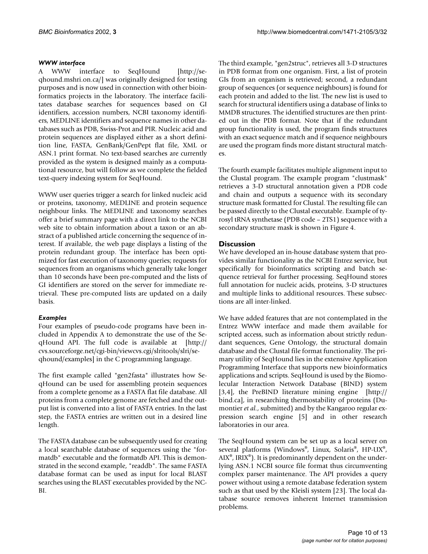#### *WWW interface*

[A WWW interface to SeqHound \[http://se](http://seqhound.mshri.on.ca/)qhound.mshri.on.ca/] was originally designed for testing purposes and is now used in connection with other bioinformatics projects in the laboratory. The interface facilitates database searches for sequences based on GI identifiers, accession numbers, NCBI taxonomy identifiers, MEDLINE identifiers and sequence names in other databases such as PDB, Swiss-Prot and PIR. Nucleic acid and protein sequences are displayed either as a short definition line, FASTA, GenBank/GenPept flat file, XML or ASN.1 print format. No text-based searches are currently provided as the system is designed mainly as a computational resource, but will follow as we complete the fielded text-query indexing system for SeqHound.

WWW user queries trigger a search for linked nucleic acid or proteins, taxonomy, MEDLINE and protein sequence neighbour links. The MEDLINE and taxonomy searches offer a brief summary page with a direct link to the NCBI web site to obtain information about a taxon or an abstract of a published article concerning the sequence of interest. If available, the web page displays a listing of the protein redundant group. The interface has been optimized for fast execution of taxonomy queries; requests for sequences from an organisms which generally take longer than 10 seconds have been pre-computed and the lists of GI identifiers are stored on the server for immediate retrieval. These pre-computed lists are updated on a daily basis.

# *Examples*

[Four examples of pseudo-code programs have been in](http://cvs.sourceforge.net/cgi-bin/viewcvs.cgi/slritools/slri/seqhound/examples)cluded in Appendix A to demonstrate the use of the SeqHound API. The full code is available at [http:// cvs.sourceforge.net/cgi-bin/viewcvs.cgi/slritools/slri/seqhound/examples] in the C programming language.

The first example called "gen2fasta" illustrates how SeqHound can be used for assembling protein sequences from a complete genome as a FASTA flat file database. All proteins from a complete genome are fetched and the output list is converted into a list of FASTA entries. In the last step, the FASTA entries are written out in a desired line length.

The FASTA database can be subsequently used for creating a local searchable database of sequences using the "formatdb" executable and the formatdb API. This is demonstrated in the second example, "readdb". The same FASTA database format can be used as input for local BLAST searches using the BLAST executables provided by the NC-BI.

The third example, "gen2struc", retrieves all 3-D structures in PDB format from one organism. First, a list of protein GIs from an organism is retrieved; second, a redundant group of sequences (or sequence neighbours) is found for each protein and added to the list. The new list is used to search for structural identifiers using a database of links to MMDB structures. The identified structures are then printed out in the PDB format. Note that if the redundant group functionality is used, the program finds structures with an exact sequence match and if sequence neighbours are used the program finds more distant structural matches.

The fourth example facilitates multiple alignment input to the Clustal program. The example program "clustmask" retrieves a 3-D structural annotation given a PDB code and chain and outputs a sequence with its secondary structure mask formatted for Clustal. The resulting file can be passed directly to the Clustal executable. Example of tyrosyl tRNA synthetase (PDB code – 2TS1) sequence with a secondary structure mask is shown in Figure 4.

# **Discussion**

We have developed an in-house database system that provides similar functionality as the NCBI Entrez service, but specifically for bioinformatics scripting and batch sequence retrieval for further processing. SeqHound stores full annotation for nucleic acids, proteins, 3-D structures and multiple links to additional resources. These subsections are all inter-linked.

[We have added features that are not contemplated in the](http://bind.ca) Entrez WWW interface and made them available for scripted access, such as information about strictly redundant sequences, Gene Ontology, the structural domain database and the Clustal file format functionality. The primary utility of SeqHound lies in the extensive Application Programming Interface that supports new bioinformatics applications and scripts. SeqHound is used by the Biomolecular Interaction Network Database (BIND) system [3,4], the PreBIND literature mining engine [http:// bind.ca], in researching thermostability of proteins (Du[montier](http://bind.ca) *et al.*, submitted) and by the Kangaroo regular expression search engine [5] and in other research laboratories in our area.

The SeqHound system can be set up as a local server on several platforms (Windows®, Linux, Solaris®, HP-UX®,  $AIX^{\circ}$ , IRIX $^{\circ}$ ). It is predominantly dependent on the underlying ASN.1 NCBI source file format thus circumventing complex parser maintenance. The API provides a query power without using a remote database federation system such as that used by the Kleisli system [23]. The local database source removes inherent Internet transmission problems.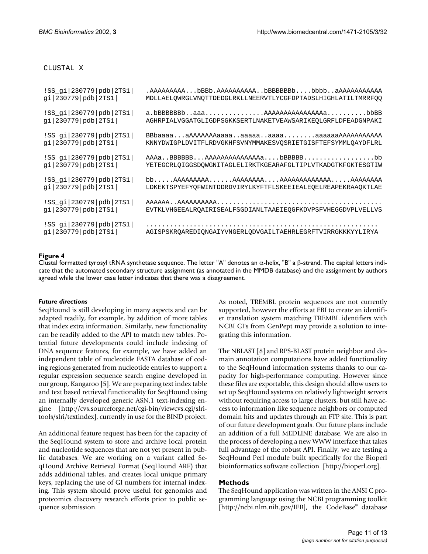CLUSTAL X

| !SS_gi 230779 pdb 2TS1       |                                                              |
|------------------------------|--------------------------------------------------------------|
| gi   230779   pdb   2TS1     | MDLLAELOWRGLVNOTTDEDGLRKLLNEERVTLYCGFDPTADSLHIGHLATILTMRRFOO |
| !SS_gi   230779   pdb   2TS1 |                                                              |
| gi   230779   pdb   2TS1     | AGHRPIALVGGATGLIGDPSGKKSERTLNAKETVEAWSARIKEOLGRFLDFEADGNPAKI |
| !SS_gi 230779 pdb 2TS1       |                                                              |
| gi   230779   pdb   2TS1     | KNNYDWIGPLDVITFLRDVGKHFSVNYMMAKESVOSRIETGISFTEFSYMMLOAYDFLRL |
| !SS_gi   230779   pdb   2TS1 |                                                              |
| gi   230779   pdb   2TS1     | YETEGCRLOIGGSDOWGNITAGLELIRKTKGEARAFGLTIPLVTKADGTKFGKTESGTIW |
| !SS_gi 230779 pdb 2TS1       |                                                              |
| gi   230779   pdb   2TS1     | LDKEKTSPYEFYOFWINTDDRDVIRYLKYFTFLSKEEIEALEOELREAPEKRAAOKTLAE |
| !SS_gi   230779   pdb   2TS1 |                                                              |
| gi   230779   pdb   2TS1     | EVTKLVHGEEALRQAIRISEALFSGDIANLTAAEIEQGFKDVPSFVHEGGDVPLVELLVS |
| !SS_gi   230779   pdb   2TS1 |                                                              |
| gi   230779   pdb   2TS1     | AGISPSKRQAREDIQNGAIYVNGERLQDVGAILTAEHRLEGRFTVIRRGKKKYYLIRYA  |

### **Figure 4**

Clustal formatted tyrosyl tRNA synthetase sequence. The letter "A" denotes an α-helix, "B" a β-strand. The capital letters indicate that the automated secondary structure assignment (as annotated in the MMDB database) and the assignment by authors agreed while the lower case letter indicates that there was a disagreement.

#### *Future directions*

[SeqHound is still developing in many aspects and can be](http://cvs.sourceforge.net/cgi-bin/viewcvs.cgi/slritools/slri/textindex) adapted readily, for example, by addition of more tables that index extra information. Similarly, new functionality can be readily added to the API to match new tables. Potential future developments could include indexing of DNA sequence features, for example, we have added an independent table of nucleotide FASTA database of coding regions generated from nucleotide entries to support a regular expression sequence search engine developed in our group, Kangaroo [5]. We are preparing text index table and text based retrieval functionality for SeqHound using an internally developed generic ASN.1 text-indexing engine [http://cvs.sourceforge.net/cgi-bin/viewcvs.cgi/slritools/slri/textindex], currently in use for the BIND project.

An additional feature request has been for the capacity of the SeqHound system to store and archive local protein and nucleotide sequences that are not yet present in public databases. We are working on a variant called SeqHound Archive Retrieval Format (SeqHound ARF) that adds additional tables, and creates local unique primary keys, replacing the use of GI numbers for internal indexing. This system should prove useful for genomics and proteomics discovery research efforts prior to public sequence submission.

As noted, TREMBL protein sequences are not currently supported, however the efforts at EBI to create an identifier translation system matching TREMBL identifiers with NCBI GI's from GenPept may provide a solution to integrating this information.

[The NBLAST \[8\] and RPS-BLAST protein neighbor and do](http://bioperl.org)main annotation computations have added functionality to the SeqHound information systems thanks to our capacity for high-performance computing. However since these files are exportable, this design should allow users to set up SeqHound systems on relatively lightweight servers without requiring access to large clusters, but still have access to information like sequence neighbors or computed domain hits and updates through an FTP site. This is part of our future development goals. Our future plans include an addition of a full MEDLINE database. We are also in the process of developing a new WWW interface that takes full advantage of the robust API. Finally, we are testing a SeqHound Perl module built specifically for the Bioperl bioinformatics software collection [http://bioperl.org].

#### **Methods**

[The SeqHound application was written in the ANSI C pro](http://ncbi.nlm.nih.gov/IEB)gramming language using the NCBI programming toolkit [\[http://ncbi.nlm.nih.gov/IEB\], the CodeBase](http://ncbi.nlm.nih.gov/IEB)® [database](http://www.sequiter.com)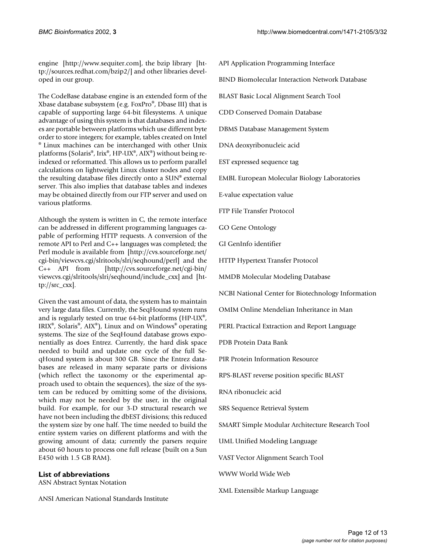[engine \[http://www.sequiter.com\], the bzip library \[](http://www.sequiter.com)[ht](http://sources.redhat.com/bzip2/)[tp://sources.redhat.com/bzip2/\] and other libraries devel](http://sources.redhat.com/bzip2/)oped in our group.

The CodeBase database engine is an extended form of the Xbase database subsystem (e.g. FoxPro®, Dbase III) that is capable of supporting large 64-bit filesystems. A unique advantage of using this system is that databases and indexes are portable between platforms which use different byte order to store integers; for example, tables created on Intel ® Linux machines can be interchanged with other Unix platforms (Solaris®, Irix®, HP-UX®, AIX®) without being reindexed or reformatted. This allows us to perform parallel calculations on lightweight Linux cluster nodes and copy the resulting database files directly onto a SUN® external server. This also implies that database tables and indexes may be obtained directly from our FTP server and used on various platforms.

[Although the system is written in C, the remote interface](http://cvs.sourceforge.net/cgi-bin/viewcvs.cgi/slritools/slri/seqhound/perl) can be addressed in different programming languages capable of performing HTTP requests. A conversion of the remote API to Perl and C++ languages was completed; the Perl module is available from [http://cvs.sourceforge.net/ cgi-bin/viewcvs.cgi/slritools/slri/seqhound/perl] and the [C++ API from \[](http://cvs.sourceforge.net/cgi-bin/viewcvs.cgi/slritools/slri/seqhound/perl)[http://cvs.sourceforge.net/cgi-bin/](http://cvs.sourceforge.net/cgi-bin/viewcvs.cgi/slritools/slri/seqhound/include_cxx) [viewcvs.cgi/slritools/slri/seqhound/include\\_cxx\] and \[](http://cvs.sourceforge.net/cgi-bin/viewcvs.cgi/slritools/slri/seqhound/include_cxx)[ht](http://src_cxx)[tp://src\\_cxx\].](http://src_cxx)

Given the vast amount of data, the system has to maintain very large data files. Currently, the SeqHound system runs and is regularly tested on true 64-bit platforms (HP-UX®, IRIX®, Solaris®, AIX®), Linux and on Windows® operating systems. The size of the SeqHound database grows exponentially as does Entrez. Currently, the hard disk space needed to build and update one cycle of the full SeqHound system is about 300 GB. Since the Entrez databases are released in many separate parts or divisions (which reflect the taxonomy or the experimental approach used to obtain the sequences), the size of the system can be reduced by omitting some of the divisions, which may not be needed by the user, in the original build. For example, for our 3-D structural research we have not been including the dbEST divisions; this reduced the system size by one half. The time needed to build the entire system varies on different platforms and with the growing amount of data; currently the parsers require about 60 hours to process one full release (built on a Sun E450 with 1.5 GB RAM).

#### **List of abbreviations**

ASN Abstract Syntax Notation

ANSI American National Standards Institute

API Application Programming Interface BIND Biomolecular Interaction Network Database BLAST Basic Local Alignment Search Tool CDD Conserved Domain Database DBMS Database Management System DNA deoxyribonucleic acid EST expressed sequence tag EMBL European Molecular Biology Laboratories E-value expectation value FTP File Transfer Protocol GO Gene Ontology GI GenInfo identifier HTTP Hypertext Transfer Protocol MMDB Molecular Modeling Database NCBI National Center for Biotechnology Information OMIM Online Mendelian Inheritance in Man PERL Practical Extraction and Report Language PDB Protein Data Bank PIR Protein Information Resource RPS-BLAST reverse position specific BLAST RNA ribonucleic acid SRS Sequence Retrieval System SMART Simple Modular Architecture Research Tool UML Unified Modeling Language VAST Vector Alignment Search Tool WWW World Wide Web

XML Extensible Markup Language